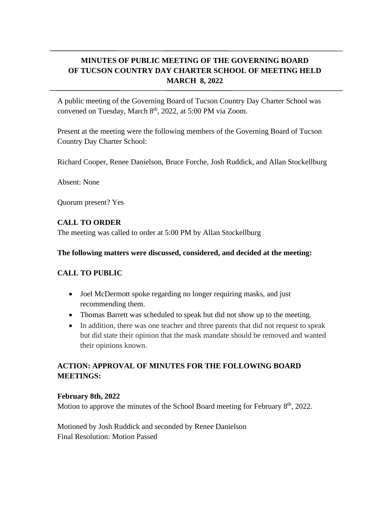# **MINUTES OF PUBLIC MEETING OF THE GOVERNING BOARD OF TUCSON COUNTRY DAY CHARTER SCHOOL OF MEETING HELD MARCH 8, 2022**

A public meeting of the Governing Board of Tucson Country Day Charter School was convened on Tuesday, March 8<sup>th</sup>, 2022, at 5:00 PM via Zoom.

Present at the meeting were the following members of the Governing Board of Tucson Country Day Charter School:

Richard Cooper, Renee Danielson, Bruce Forche, Josh Ruddick, and Allan Stockellburg

Absent: None

Quorum present? Yes

### **CALL TO ORDER**

The meeting was called to order at 5:00 PM by Allan Stockellburg

#### **The following matters were discussed, considered, and decided at the meeting:**

### **CALL TO PUBLIC**

- Joel McDermott spoke regarding no longer requiring masks, and just recommending them.
- Thomas Barrett was scheduled to speak but did not show up to the meeting.
- In addition, there was one teacher and three parents that did not request to speak but did state their opinion that the mask mandate should be removed and wanted their opinions known.

## **ACTION: APPROVAL OF MINUTES FOR THE FOLLOWING BOARD MEETINGS:**

#### **February 8th, 2022**

Motion to approve the minutes of the School Board meeting for February  $8<sup>th</sup>$ , 2022.

Motioned by Josh Ruddick and seconded by Renee Danielson Final Resolution: Motion Passed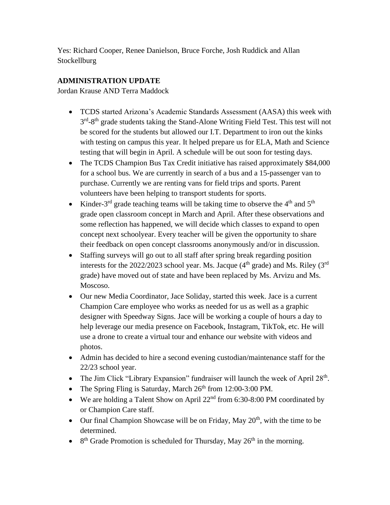Yes: Richard Cooper, Renee Danielson, Bruce Forche, Josh Ruddick and Allan **Stockellburg** 

## **ADMINISTRATION UPDATE**

Jordan Krause AND Terra Maddock

- TCDS started Arizona's Academic Standards Assessment (AASA) this week with 3<sup>rd</sup>-8<sup>th</sup> grade students taking the Stand-Alone Writing Field Test. This test will not be scored for the students but allowed our I.T. Department to iron out the kinks with testing on campus this year. It helped prepare us for ELA, Math and Science testing that will begin in April. A schedule will be out soon for testing days.
- The TCDS Champion Bus Tax Credit initiative has raised approximately \$84,000 for a school bus. We are currently in search of a bus and a 15-passenger van to purchase. Currently we are renting vans for field trips and sports. Parent volunteers have been helping to transport students for sports.
- Kinder-3<sup>rd</sup> grade teaching teams will be taking time to observe the  $4<sup>th</sup>$  and  $5<sup>th</sup>$ grade open classroom concept in March and April. After these observations and some reflection has happened, we will decide which classes to expand to open concept next schoolyear. Every teacher will be given the opportunity to share their feedback on open concept classrooms anonymously and/or in discussion.
- Staffing surveys will go out to all staff after spring break regarding position interests for the 2022/2023 school year. Ms. Jacque ( $4<sup>th</sup>$  grade) and Ms. Riley ( $3<sup>rd</sup>$ grade) have moved out of state and have been replaced by Ms. Arvizu and Ms. Moscoso.
- Our new Media Coordinator, Jace Soliday, started this week. Jace is a current Champion Care employee who works as needed for us as well as a graphic designer with Speedway Signs. Jace will be working a couple of hours a day to help leverage our media presence on Facebook, Instagram, TikTok, etc. He will use a drone to create a virtual tour and enhance our website with videos and photos.
- Admin has decided to hire a second evening custodian/maintenance staff for the 22/23 school year.
- The Jim Click "Library Expansion" fundraiser will launch the week of April  $28<sup>th</sup>$ .
- The Spring Fling is Saturday, March  $26<sup>th</sup>$  from 12:00-3:00 PM.
- We are holding a Talent Show on April  $22<sup>nd</sup>$  from 6:30-8:00 PM coordinated by or Champion Care staff.
- Our final Champion Showcase will be on Friday, May  $20<sup>th</sup>$ , with the time to be determined.
- 8<sup>th</sup> Grade Promotion is scheduled for Thursday, May  $26<sup>th</sup>$  in the morning.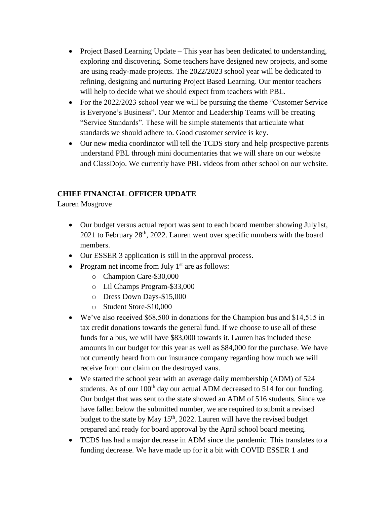- Project Based Learning Update This year has been dedicated to understanding, exploring and discovering. Some teachers have designed new projects, and some are using ready-made projects. The 2022/2023 school year will be dedicated to refining, designing and nurturing Project Based Learning. Our mentor teachers will help to decide what we should expect from teachers with PBL.
- For the 2022/2023 school year we will be pursuing the theme "Customer Service" is Everyone's Business". Our Mentor and Leadership Teams will be creating "Service Standards". These will be simple statements that articulate what standards we should adhere to. Good customer service is key.
- Our new media coordinator will tell the TCDS story and help prospective parents understand PBL through mini documentaries that we will share on our website and ClassDojo. We currently have PBL videos from other school on our website.

## **CHIEF FINANCIAL OFFICER UPDATE**

Lauren Mosgrove

- Our budget versus actual report was sent to each board member showing July1st,  $2021$  to February  $28<sup>th</sup>$ ,  $2022$ . Lauren went over specific numbers with the board members.
- Our ESSER 3 application is still in the approval process.
- Program net income from July  $1<sup>st</sup>$  are as follows:
	- o Champion Care-\$30,000
	- o Lil Champs Program-\$33,000
	- o Dress Down Days-\$15,000
	- o Student Store-\$10,000
- We've also received \$68,500 in donations for the Champion bus and \$14,515 in tax credit donations towards the general fund. If we choose to use all of these funds for a bus, we will have \$83,000 towards it. Lauren has included these amounts in our budget for this year as well as \$84,000 for the purchase. We have not currently heard from our insurance company regarding how much we will receive from our claim on the destroyed vans.
- We started the school year with an average daily membership (ADM) of 524 students. As of our  $100<sup>th</sup>$  day our actual ADM decreased to 514 for our funding. Our budget that was sent to the state showed an ADM of 516 students. Since we have fallen below the submitted number, we are required to submit a revised budget to the state by May  $15<sup>th</sup>$ , 2022. Lauren will have the revised budget prepared and ready for board approval by the April school board meeting.
- TCDS has had a major decrease in ADM since the pandemic. This translates to a funding decrease. We have made up for it a bit with COVID ESSER 1 and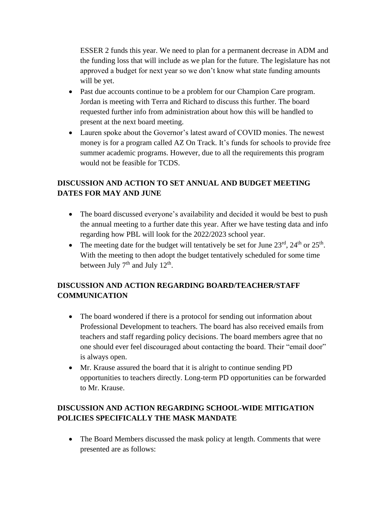ESSER 2 funds this year. We need to plan for a permanent decrease in ADM and the funding loss that will include as we plan for the future. The legislature has not approved a budget for next year so we don't know what state funding amounts will be yet.

- Past due accounts continue to be a problem for our Champion Care program. Jordan is meeting with Terra and Richard to discuss this further. The board requested further info from administration about how this will be handled to present at the next board meeting.
- Lauren spoke about the Governor's latest award of COVID monies. The newest money is for a program called AZ On Track. It's funds for schools to provide free summer academic programs. However, due to all the requirements this program would not be feasible for TCDS.

# **DISCUSSION AND ACTION TO SET ANNUAL AND BUDGET MEETING DATES FOR MAY AND JUNE**

- The board discussed everyone's availability and decided it would be best to push the annual meeting to a further date this year. After we have testing data and info regarding how PBL will look for the 2022/2023 school year.
- The meeting date for the budget will tentatively be set for June  $23<sup>rd</sup>$ ,  $24<sup>th</sup>$  or  $25<sup>th</sup>$ . With the meeting to then adopt the budget tentatively scheduled for some time between July  $7<sup>th</sup>$  and July  $12<sup>th</sup>$ .

# **DISCUSSION AND ACTION REGARDING BOARD/TEACHER/STAFF COMMUNICATION**

- The board wondered if there is a protocol for sending out information about Professional Development to teachers. The board has also received emails from teachers and staff regarding policy decisions. The board members agree that no one should ever feel discouraged about contacting the board. Their "email door" is always open.
- Mr. Krause assured the board that it is alright to continue sending PD opportunities to teachers directly. Long-term PD opportunities can be forwarded to Mr. Krause.

# **DISCUSSION AND ACTION REGARDING SCHOOL-WIDE MITIGATION POLICIES SPECIFICALLY THE MASK MANDATE**

• The Board Members discussed the mask policy at length. Comments that were presented are as follows: